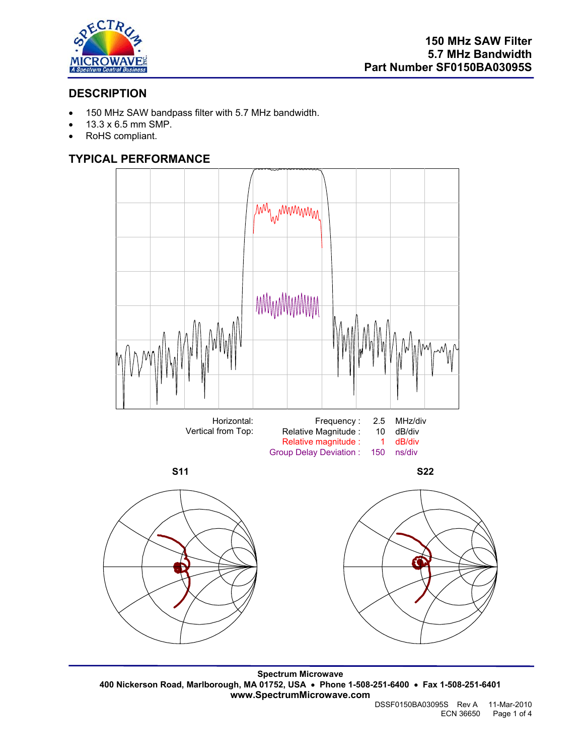

# **DESCRIPTION**

- 150 MHz SAW bandpass filter with 5.7 MHz bandwidth.
- 13.3 x 6.5 mm SMP.
- RoHS compliant.

# **TYPICAL PERFORMANCE**



**Spectrum Microwave 400 Nickerson Road, Marlborough, MA 01752, USA** • **Phone 1-508-251-6400** • **Fax 1-508-251-6401 www.SpectrumMicrowave.com**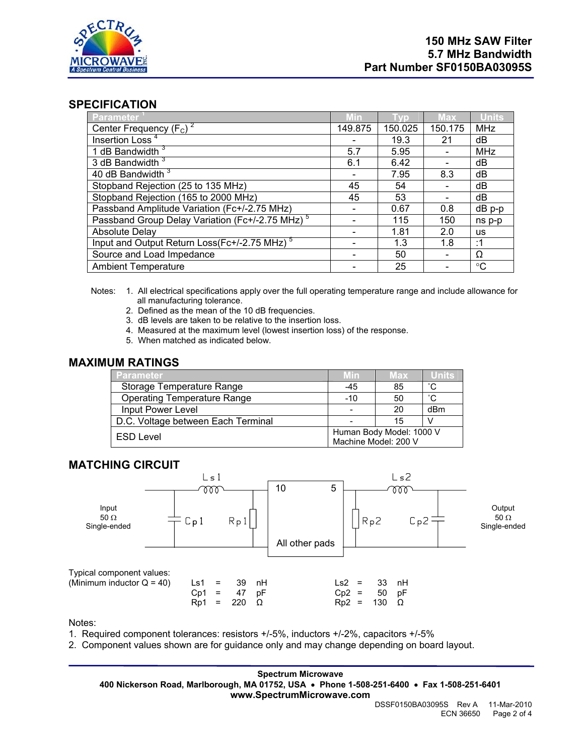

#### **SPECIFICATION**

| Parameter                                                   | Min     |         | <b>Max</b> | <b>Units</b>    |
|-------------------------------------------------------------|---------|---------|------------|-----------------|
| Center Frequency $(F_c)^2$                                  | 149.875 | 150.025 | 150.175    | <b>MHz</b>      |
| Insertion Loss <sup>4</sup>                                 |         | 19.3    | 21         | dВ              |
| 1 dB Bandwidth $3$                                          | 5.7     | 5.95    |            | <b>MHz</b>      |
| 3 dB Bandwidth <sup>3</sup>                                 | 6.1     | 6.42    |            | dВ              |
| 40 dB Bandwidth <sup>3</sup>                                |         | 7.95    | 8.3        | dB              |
| Stopband Rejection (25 to 135 MHz)                          | 45      | 54      |            | dB              |
| Stopband Rejection (165 to 2000 MHz)                        | 45      | 53      |            | dB              |
| Passband Amplitude Variation (Fc+/-2.75 MHz)                |         | 0.67    | 0.8        | $dB$ p-p        |
| Passband Group Delay Variation (Fc+/-2.75 MHz) <sup>5</sup> |         | 115     | 150        | ns p-p          |
| Absolute Delay                                              |         | 1.81    | 2.0        | <b>us</b>       |
| Input and Output Return Loss(Fc+/-2.75 MHz) <sup>5</sup>    |         | 1.3     | 1.8        | :1              |
| Source and Load Impedance                                   |         | 50      |            | Ω               |
| <b>Ambient Temperature</b>                                  |         | 25      |            | $\rm ^{\circ}C$ |

- Notes: 1. All electrical specifications apply over the full operating temperature range and include allowance for all manufacturing tolerance.
	- 2. Defined as the mean of the 10 dB frequencies.
	- 3. dB levels are taken to be relative to the insertion loss.
	- 4. Measured at the maximum level (lowest insertion loss) of the response.
	- 5. When matched as indicated below.

### **MAXIMUM RATINGS**

| <b>Parameter</b>                   | <b>Min</b>               | <b>Max</b> | Units        |  |
|------------------------------------|--------------------------|------------|--------------|--|
| Storage Temperature Range          | $-45$                    | 85         | °С           |  |
| <b>Operating Temperature Range</b> | $-10$                    | 50         | $^{\circ}$ C |  |
| Input Power Level                  |                          | 20         | dBm          |  |
| D.C. Voltage between Each Terminal |                          | 15         |              |  |
| <b>ESD Level</b>                   | Human Body Model: 1000 V |            |              |  |
|                                    | Machine Model: 200 V     |            |              |  |

#### **MATCHING CIRCUIT**



Notes:

- 1. Required component tolerances: resistors +/-5%, inductors +/-2%, capacitors +/-5%
- 2. Component values shown are for guidance only and may change depending on board layout.

**Spectrum Microwave 400 Nickerson Road, Marlborough, MA 01752, USA** • **Phone 1-508-251-6400** • **Fax 1-508-251-6401 www.SpectrumMicrowave.com**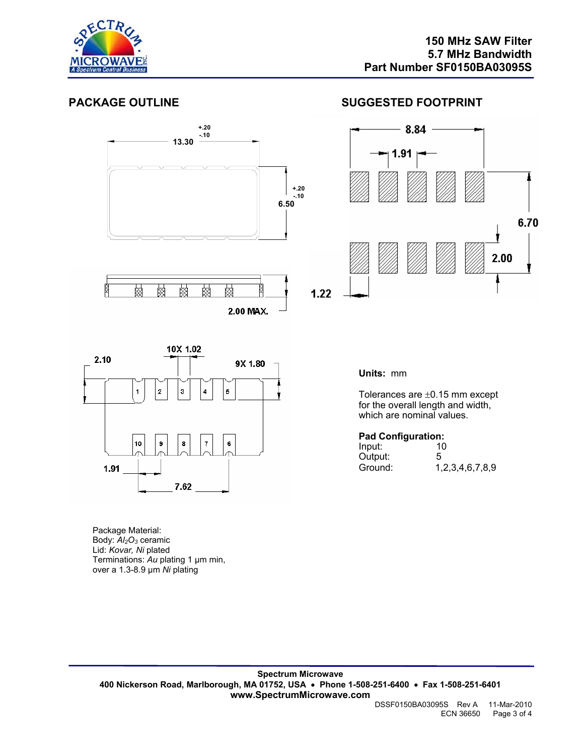

### **PACKAGE OUTLINE SUGGESTED FOOTPRINT**





**Units:** mm

Tolerances are ±0.15 mm except for the overall length and width, which are nominal values.

#### **Pad Configuration:**

| Input:  | --<br>10        |
|---------|-----------------|
| Output: | 5               |
| Ground: | 1,2,3,4,6,7,8,9 |

Package Material: Body: *Al2O3* ceramic Lid: *Kovar, Ni* plated Terminations: *Au* plating 1 µm min, over a 1.3-8.9 µm *Ni* plating